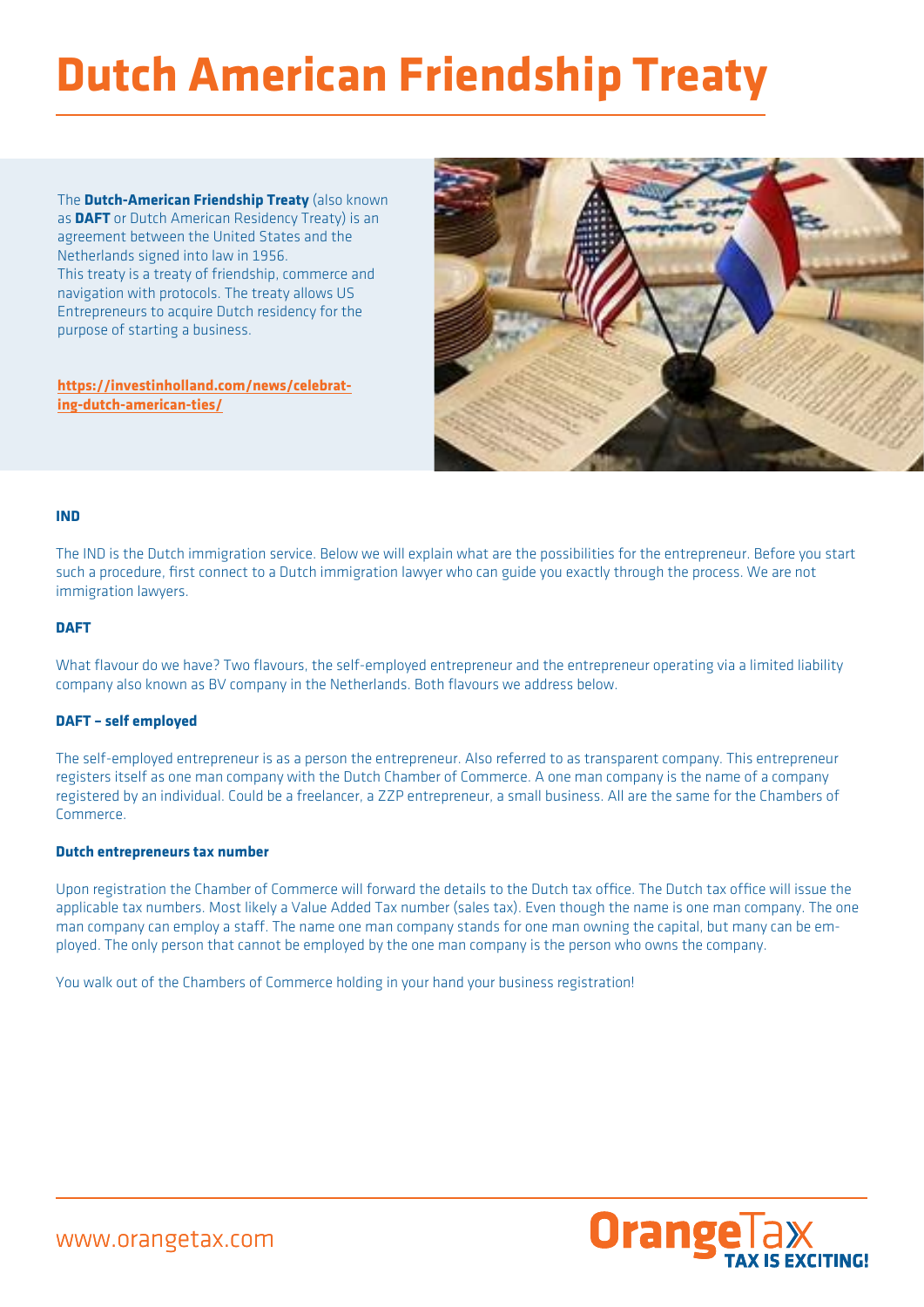# **Dutch American Friendship Treaty**

The **Dutch-American Friendship Treaty** (also known as **DAFT** or Dutch American Residency Treaty) is an agreement between the United States and the Netherlands signed into law in 1956. This treaty is a treaty of friendship, commerce and navigation with protocols. The treaty allows US Entrepreneurs to acquire Dutch residency for the purpose of starting a business.

**[https://investinholland.com/news/celebrat](https://investinholland.com/news/celebrating-dutch-american-ties/)[ing-dutch-american-ties/](https://investinholland.com/news/celebrating-dutch-american-ties/)**



## **IND**

The IND is the Dutch immigration service. Below we will explain what are the possibilities for the entrepreneur. Before you start such a procedure, first connect to a Dutch immigration lawyer who can guide you exactly through the process. We are not immigration lawyers.

## **DAFT**

What flavour do we have? Two flavours, the self-employed entrepreneur and the entrepreneur operating via a limited liability company also known as BV company in the Netherlands. Both flavours we address below.

# **DAFT – self employed**

The self-employed entrepreneur is as a person the entrepreneur. Also referred to as transparent company. This entrepreneur registers itself as one man company with the Dutch Chamber of Commerce. A one man company is the name of a company registered by an individual. Could be a freelancer, a ZZP entrepreneur, a small business. All are the same for the Chambers of Commerce.

# **Dutch entrepreneurs tax number**

Upon registration the Chamber of Commerce will forward the details to the Dutch tax office. The Dutch tax office will issue the applicable tax numbers. Most likely a Value Added Tax number (sales tax). Even though the name is one man company. The one man company can employ a staff. The name one man company stands for one man owning the capital, but many can be employed. The only person that cannot be employed by the one man company is the person who owns the company.

You walk out of the Chambers of Commerce holding in your hand your business registration!

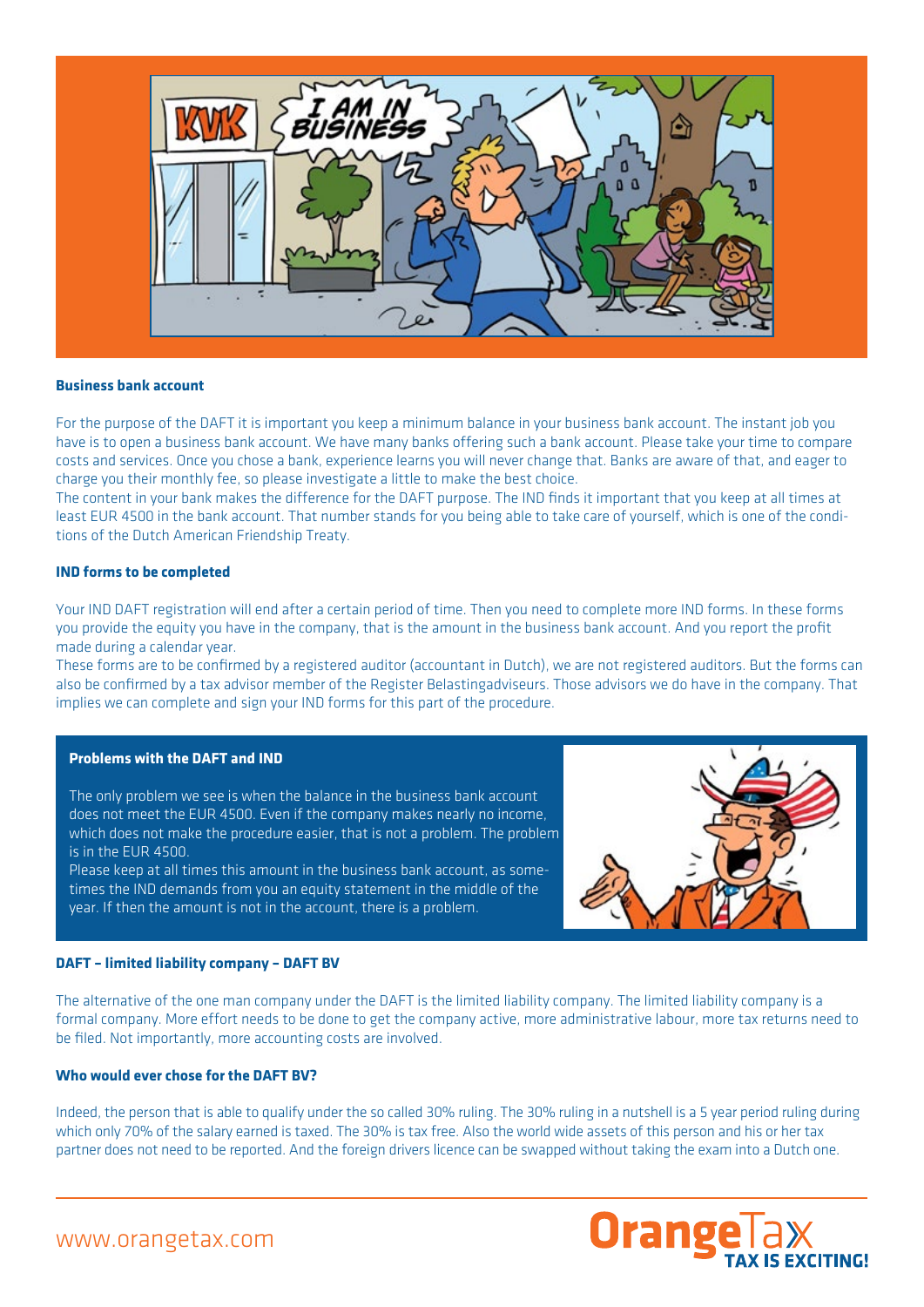

#### **Business bank account**

For the purpose of the DAFT it is important you keep a minimum balance in your business bank account. The instant job you have is to open a business bank account. We have many banks offering such a bank account. Please take your time to compare costs and services. Once you chose a bank, experience learns you will never change that. Banks are aware of that, and eager to charge you their monthly fee, so please investigate a little to make the best choice.

The content in your bank makes the difference for the DAFT purpose. The IND finds it important that you keep at all times at least EUR 4500 in the bank account. That number stands for you being able to take care of yourself, which is one of the conditions of the Dutch American Friendship Treaty.

## **IND forms to be completed**

Your IND DAFT registration will end after a certain period of time. Then you need to complete more IND forms. In these forms you provide the equity you have in the company, that is the amount in the business bank account. And you report the profit made during a calendar year.

These forms are to be confirmed by a registered auditor (accountant in Dutch), we are not registered auditors. But the forms can also be confirmed by a tax advisor member of the Register Belastingadviseurs. Those advisors we do have in the company. That implies we can complete and sign your IND forms for this part of the procedure.

## **Problems with the DAFT and IND**

The only problem we see is when the balance in the business bank account does not meet the EUR 4500. Even if the company makes nearly no income, which does not make the procedure easier, that is not a problem. The problem is in the EUR 4500.

Please keep at all times this amount in the business bank account, as sometimes the IND demands from you an equity statement in the middle of the year. If then the amount is not in the account, there is a problem.



#### **DAFT – limited liability company – DAFT BV**

The alternative of the one man company under the DAFT is the limited liability company. The limited liability company is a formal company. More effort needs to be done to get the company active, more administrative labour, more tax returns need to be filed. Not importantly, more accounting costs are involved.

#### **Who would ever chose for the DAFT BV?**

Indeed, the person that is able to qualify under the so called 30% ruling. The 30% ruling in a nutshell is a 5 year period ruling during which only 70% of the salary earned is taxed. The 30% is tax free. Also the world wide assets of this person and his or her tax partner does not need to be reported. And the foreign drivers licence can be swapped without taking the exam into a Dutch one.



www.orangetax.com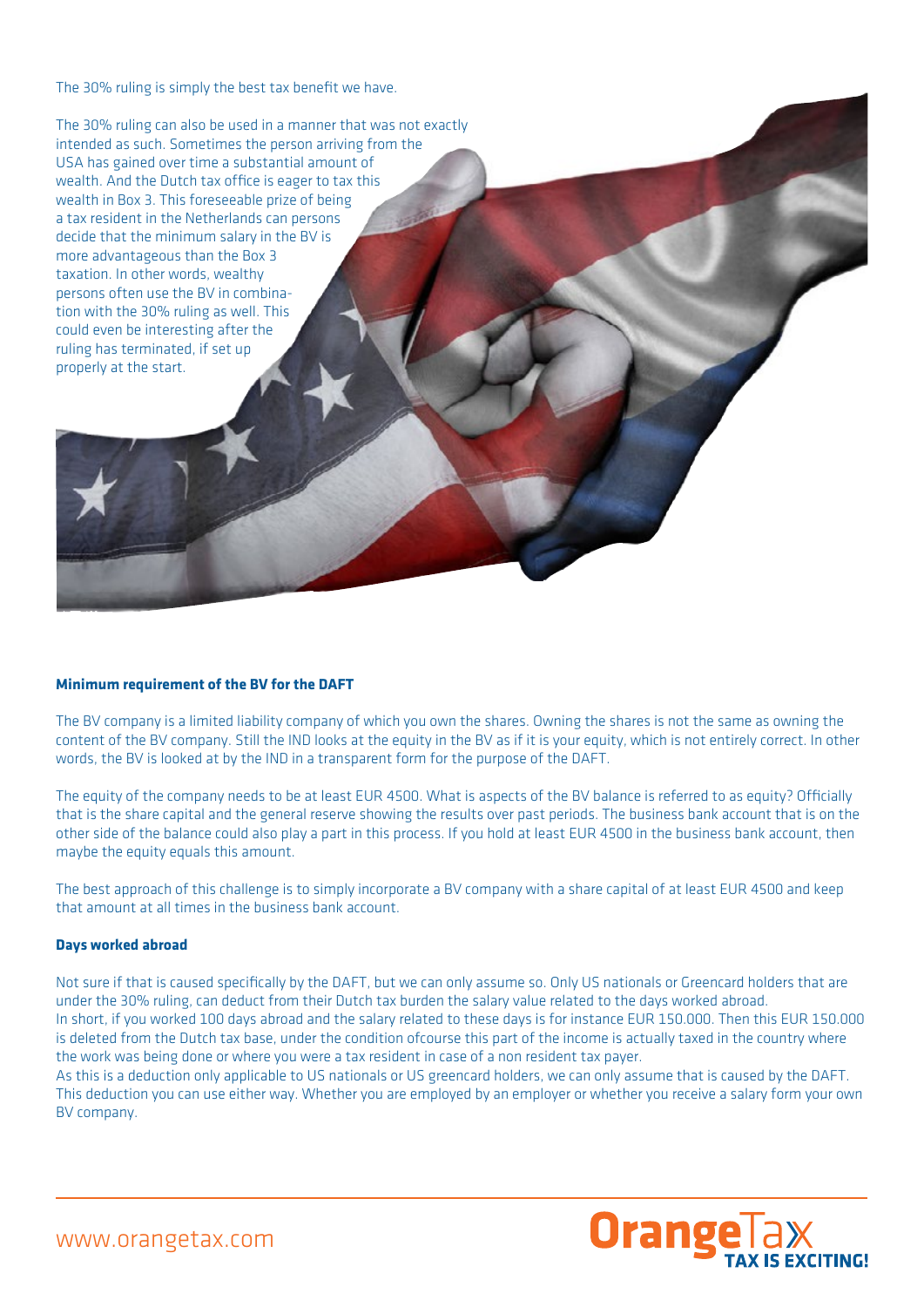The 30% ruling is simply the best tax benefit we have.

The 30% ruling can also be used in a manner that was not exactly intended as such. Sometimes the person arriving from the USA has gained over time a substantial amount of wealth. And the Dutch tax office is eager to tax this wealth in Box 3. This foreseeable prize of being a tax resident in the Netherlands can persons decide that the minimum salary in the BV is more advantageous than the Box 3 taxation. In other words, wealthy persons often use the BV in combination with the 30% ruling as well. This could even be interesting after the ruling has terminated, if set up properly at the start.

#### **Minimum requirement of the BV for the DAFT**

The BV company is a limited liability company of which you own the shares. Owning the shares is not the same as owning the content of the BV company. Still the IND looks at the equity in the BV as if it is your equity, which is not entirely correct. In other words, the BV is looked at by the IND in a transparent form for the purpose of the DAFT.

The equity of the company needs to be at least EUR 4500. What is aspects of the BV balance is referred to as equity? Officially that is the share capital and the general reserve showing the results over past periods. The business bank account that is on the other side of the balance could also play a part in this process. If you hold at least EUR 4500 in the business bank account, then maybe the equity equals this amount.

The best approach of this challenge is to simply incorporate a BV company with a share capital of at least EUR 4500 and keep that amount at all times in the business bank account.

#### **Days worked abroad**

Not sure if that is caused specifically by the DAFT, but we can only assume so. Only US nationals or Greencard holders that are under the 30% ruling, can deduct from their Dutch tax burden the salary value related to the days worked abroad. In short, if you worked 100 days abroad and the salary related to these days is for instance EUR 150.000. Then this EUR 150.000 is deleted from the Dutch tax base, under the condition ofcourse this part of the income is actually taxed in the country where the work was being done or where you were a tax resident in case of a non resident tax payer.

As this is a deduction only applicable to US nationals or US greencard holders, we can only assume that is caused by the DAFT. This deduction you can use either way. Whether you are employed by an employer or whether you receive a salary form your own BV company.